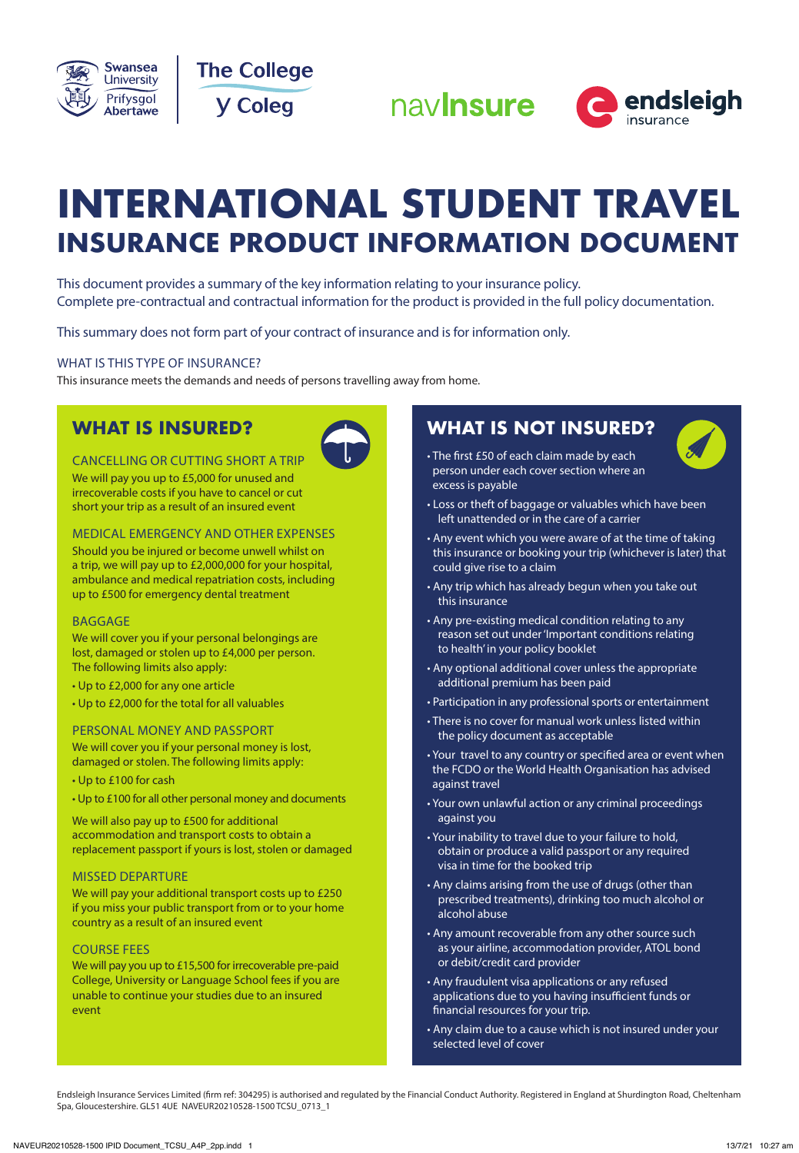







# **INTERNATIONAL STUDENT TRAVEL INSURANCE PRODUCT INFORMATION DOCUMENT**

This document provides a summary of the key information relating to your insurance policy. Complete pre-contractual and contractual information for the product is provided in the full policy documentation.

This summary does not form part of your contract of insurance and is for information only.

### WHAT IS THIS TYPE OF INSURANCE?

This insurance meets the demands and needs of persons travelling away from home.

## **WHAT IS INSURED?**



CANCELLING OR CUTTING SHORT A TRIP We will pay you up to £5,000 for unused and irrecoverable costs if you have to cancel or cut short your trip as a result of an insured event

MEDICAL EMERGENCY AND OTHER EXPENSES Should you be injured or become unwell whilst on a trip, we will pay up to £2,000,000 for your hospital, ambulance and medical repatriation costs, including up to £500 for emergency dental treatment

### BAGGAGE

We will cover you if your personal belongings are lost, damaged or stolen up to £4,000 per person. The following limits also apply:

- Up to £2,000 for any one article
- Up to £2,000 for the total for all valuables

### PERSONAL MONEY AND PASSPORT

We will cover you if your personal money is lost, damaged or stolen. The following limits apply:

- Up to £100 for cash
- Up to £100 for all other personal money and documents

We will also pay up to £500 for additional accommodation and transport costs to obtain a replacement passport if yours is lost, stolen or damaged

### MISSED DEPARTURE

We will pay your additional transport costs up to £250 if you miss your public transport from or to your home country as a result of an insured event

### COURSE FEES

We will pay you up to £15,500 for irrecoverable pre-paid College, University or Language School fees if you are unable to continue your studies due to an insured event

## **WHAT IS NOT INSURED?**



- The first £50 of each claim made by each person under each cover section where an excess is payable
- Loss or theft of baggage or valuables which have been left unattended or in the care of a carrier
- Any event which you were aware of at the time of taking this insurance or booking your trip (whichever is later) that could give rise to a claim
- Any trip which has already begun when you take out this insurance
- Any pre-existing medical condition relating to any reason set out under 'Important conditions relating to health' in your policy booklet
- Any optional additional cover unless the appropriate additional premium has been paid
- Participation in any professional sports or entertainment
- There is no cover for manual work unless listed within the policy document as acceptable
- Your travel to any country or specified area or event when the FCDO or the World Health Organisation has advised against travel
- Your own unlawful action or any criminal proceedings against you
- Your inability to travel due to your failure to hold, obtain or produce a valid passport or any required visa in time for the booked trip
- Any claims arising from the use of drugs (other than prescribed treatments), drinking too much alcohol or alcohol abuse
- Any amount recoverable from any other source such as your airline, accommodation provider, ATOL bond or debit/credit card provider
- Any fraudulent visa applications or any refused applications due to you having insufficient funds or financial resources for your trip.
- Any claim due to a cause which is not insured under your selected level of cover

Endsleigh Insurance Services Limited (firm ref: 304295) is authorised and regulated by the Financial Conduct Authority. Registered in England at Shurdington Road, Cheltenham Spa, Gloucestershire. GL51 4UE NAVEUR20210528-1500 TCSU\_0713\_1